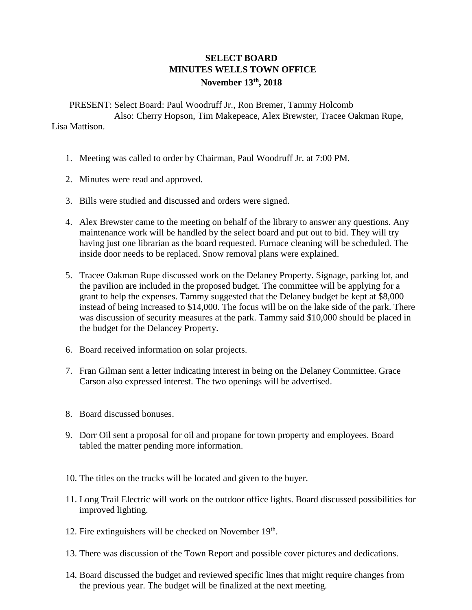## **SELECT BOARD MINUTES WELLS TOWN OFFICE November 13th , 2018**

PRESENT: Select Board: Paul Woodruff Jr., Ron Bremer, Tammy Holcomb Also: Cherry Hopson, Tim Makepeace, Alex Brewster, Tracee Oakman Rupe, Lisa Mattison.

- 1. Meeting was called to order by Chairman, Paul Woodruff Jr. at 7:00 PM.
- 2. Minutes were read and approved.
- 3. Bills were studied and discussed and orders were signed.
- 4. Alex Brewster came to the meeting on behalf of the library to answer any questions. Any maintenance work will be handled by the select board and put out to bid. They will try having just one librarian as the board requested. Furnace cleaning will be scheduled. The inside door needs to be replaced. Snow removal plans were explained.
- 5. Tracee Oakman Rupe discussed work on the Delaney Property. Signage, parking lot, and the pavilion are included in the proposed budget. The committee will be applying for a grant to help the expenses. Tammy suggested that the Delaney budget be kept at \$8,000 instead of being increased to \$14,000. The focus will be on the lake side of the park. There was discussion of security measures at the park. Tammy said \$10,000 should be placed in the budget for the Delancey Property.
- 6. Board received information on solar projects.
- 7. Fran Gilman sent a letter indicating interest in being on the Delaney Committee. Grace Carson also expressed interest. The two openings will be advertised.
- 8. Board discussed bonuses.
- 9. Dorr Oil sent a proposal for oil and propane for town property and employees. Board tabled the matter pending more information.
- 10. The titles on the trucks will be located and given to the buyer.
- 11. Long Trail Electric will work on the outdoor office lights. Board discussed possibilities for improved lighting.
- 12. Fire extinguishers will be checked on November 19th.
- 13. There was discussion of the Town Report and possible cover pictures and dedications.
- 14. Board discussed the budget and reviewed specific lines that might require changes from the previous year. The budget will be finalized at the next meeting.